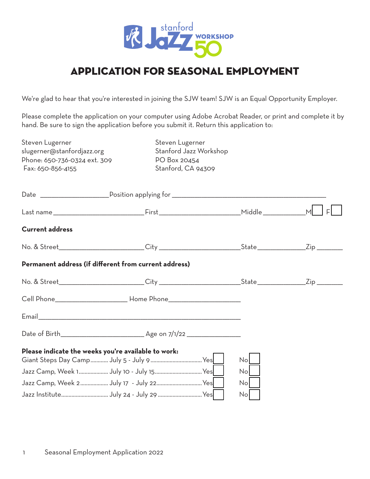

## Application for seasonal employment

We're glad to hear that you're interested in joining the SJW team! SJW is an Equal Opportunity Employer.

Please complete the application on your computer using Adobe Acrobat Reader, or print and complete it by hand. Be sure to sign the application before you submit it. Return this application to:

| Steven Lugerner<br>slugerner@stanfordjazz.org<br>Phone: 650-736-0324 ext. 309<br>Fax: 650-856-4155             | Steven Lugerner<br>Stanford Jazz Workshop<br>PO Box 20454<br>Stanford, CA 94309 |                 |                     |
|----------------------------------------------------------------------------------------------------------------|---------------------------------------------------------------------------------|-----------------|---------------------|
|                                                                                                                |                                                                                 |                 |                     |
|                                                                                                                |                                                                                 |                 |                     |
| <b>Current address</b>                                                                                         |                                                                                 |                 |                     |
| No. & Street_________________________City ____________________________State _________________Zip _________     |                                                                                 |                 |                     |
| Permanent address (if different from current address)                                                          |                                                                                 |                 |                     |
| No. & Street___________________________City ________________________________State ____________________________ |                                                                                 |                 | $\mathsf{Zip} \_\_$ |
|                                                                                                                |                                                                                 |                 |                     |
|                                                                                                                |                                                                                 |                 |                     |
|                                                                                                                |                                                                                 |                 |                     |
| Please indicate the weeks you're available to work:                                                            |                                                                                 | Nol             |                     |
| Jazz Camp, Week 1 July 10 - July 15 Yes                                                                        |                                                                                 | No              |                     |
| Jazz Camp, Week 2 July 17 - July 22 Yes                                                                        |                                                                                 | No <sub>1</sub> |                     |
|                                                                                                                |                                                                                 | No              |                     |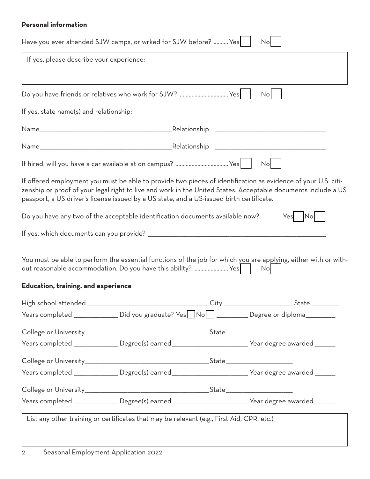## **Personal information**

|                                          | Have you ever attended SJW camps, or wrked for SJW before?  Yes                           |                    | No                                                                                                                                                                                                                             |
|------------------------------------------|-------------------------------------------------------------------------------------------|--------------------|--------------------------------------------------------------------------------------------------------------------------------------------------------------------------------------------------------------------------------|
| If yes, please describe your experience: |                                                                                           |                    |                                                                                                                                                                                                                                |
|                                          | Do you have friends or relatives who work for SJW?  Yes                                   |                    | <b>No</b>                                                                                                                                                                                                                      |
| If yes, state name(s) and relationship:  |                                                                                           |                    |                                                                                                                                                                                                                                |
|                                          |                                                                                           |                    |                                                                                                                                                                                                                                |
|                                          |                                                                                           |                    |                                                                                                                                                                                                                                |
|                                          |                                                                                           |                    | No                                                                                                                                                                                                                             |
|                                          | passport, a US driver's license issued by a US state, and a US-issued birth certificate.  |                    | If offered employment you must be able to provide two pieces of identification as evidence of your U.S. citi-<br>zenship or proof of your legal right to live and work in the United States. Acceptable documents include a US |
|                                          | Do you have any two of the acceptable identification documents available now?             |                    | $\mathsf{No}$<br>Yes                                                                                                                                                                                                           |
|                                          |                                                                                           |                    |                                                                                                                                                                                                                                |
|                                          | out reasonable accommodation. Do you have this ability?  Yes                              |                    | You must be able to perform the essential functions of the job for which you are applying, either with or with-<br>No                                                                                                          |
| Education, training, and experience      |                                                                                           |                    |                                                                                                                                                                                                                                |
| High school attended_                    |                                                                                           | _City <sub>-</sub> | State                                                                                                                                                                                                                          |
|                                          |                                                                                           |                    | Years completed _______________ Did you graduate? Yes NoMed __________ Degree or diploma__________                                                                                                                             |
|                                          |                                                                                           |                    |                                                                                                                                                                                                                                |
|                                          |                                                                                           |                    | Years completed _______________ Degree(s) earned __________________________Year degree awarded ______                                                                                                                          |
|                                          |                                                                                           |                    |                                                                                                                                                                                                                                |
|                                          |                                                                                           |                    | Years completed _______________ Degree(s) earned __________________________Year degree awarded ______                                                                                                                          |
|                                          |                                                                                           |                    |                                                                                                                                                                                                                                |
|                                          |                                                                                           |                    | Years completed ________________Degree(s) earned ___________________________Year degree awarded _______                                                                                                                        |
|                                          | List any other training or certificates that may be relevant (e.g., First Aid, CPR, etc.) |                    |                                                                                                                                                                                                                                |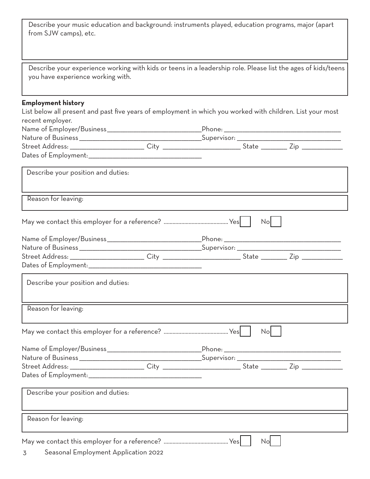| from SJW camps), etc.              | Describe your music education and background: instruments played, education programs, major (apart           |
|------------------------------------|--------------------------------------------------------------------------------------------------------------|
|                                    |                                                                                                              |
| you have experience working with.  | Describe your experience working with kids or teens in a leadership role. Please list the ages of kids/teens |
| <b>Employment history</b>          | List below all present and past five years of employment in which you worked with children. List your most   |
| recent employer.                   |                                                                                                              |
|                                    |                                                                                                              |
|                                    |                                                                                                              |
|                                    |                                                                                                              |
|                                    |                                                                                                              |
| Describe your position and duties: |                                                                                                              |
| Reason for leaving:                |                                                                                                              |
|                                    | No                                                                                                           |
|                                    |                                                                                                              |
|                                    |                                                                                                              |
|                                    |                                                                                                              |
|                                    |                                                                                                              |
| Describe your position and duties: |                                                                                                              |
| Reason for leaving:                |                                                                                                              |
|                                    | No                                                                                                           |
|                                    |                                                                                                              |
|                                    |                                                                                                              |
|                                    |                                                                                                              |
|                                    |                                                                                                              |
|                                    |                                                                                                              |
| Describe your position and duties: |                                                                                                              |
| Reason for leaving:                |                                                                                                              |
|                                    | No                                                                                                           |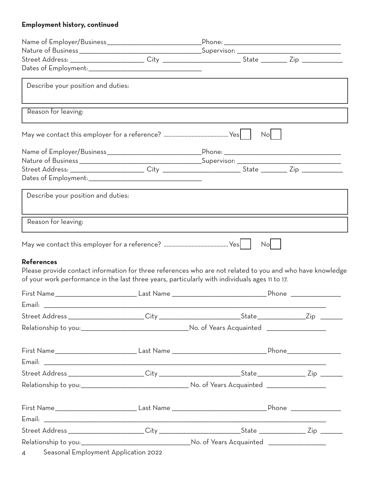## Employment history, continued

| Describe your position and duties:     |                                                                                                                                                                                                             |  |
|----------------------------------------|-------------------------------------------------------------------------------------------------------------------------------------------------------------------------------------------------------------|--|
| Reason for leaving:                    |                                                                                                                                                                                                             |  |
|                                        | No                                                                                                                                                                                                          |  |
|                                        |                                                                                                                                                                                                             |  |
|                                        |                                                                                                                                                                                                             |  |
| Describe your position and duties:     |                                                                                                                                                                                                             |  |
| Reason for leaving:                    |                                                                                                                                                                                                             |  |
| <b>References</b>                      | No                                                                                                                                                                                                          |  |
|                                        | Please provide contact information for three references who are not related to you and who have knowledge<br>of your work performance in the last three years, particularly with individuals ages 11 to 17. |  |
|                                        |                                                                                                                                                                                                             |  |
|                                        |                                                                                                                                                                                                             |  |
|                                        |                                                                                                                                                                                                             |  |
|                                        |                                                                                                                                                                                                             |  |
|                                        |                                                                                                                                                                                                             |  |
|                                        |                                                                                                                                                                                                             |  |
|                                        |                                                                                                                                                                                                             |  |
|                                        |                                                                                                                                                                                                             |  |
|                                        |                                                                                                                                                                                                             |  |
|                                        |                                                                                                                                                                                                             |  |
|                                        |                                                                                                                                                                                                             |  |
|                                        | Street Address ______________________City __________________________State _______________Zip _______                                                                                                        |  |
|                                        |                                                                                                                                                                                                             |  |
| 4 Seasonal Employment Application 2022 |                                                                                                                                                                                                             |  |